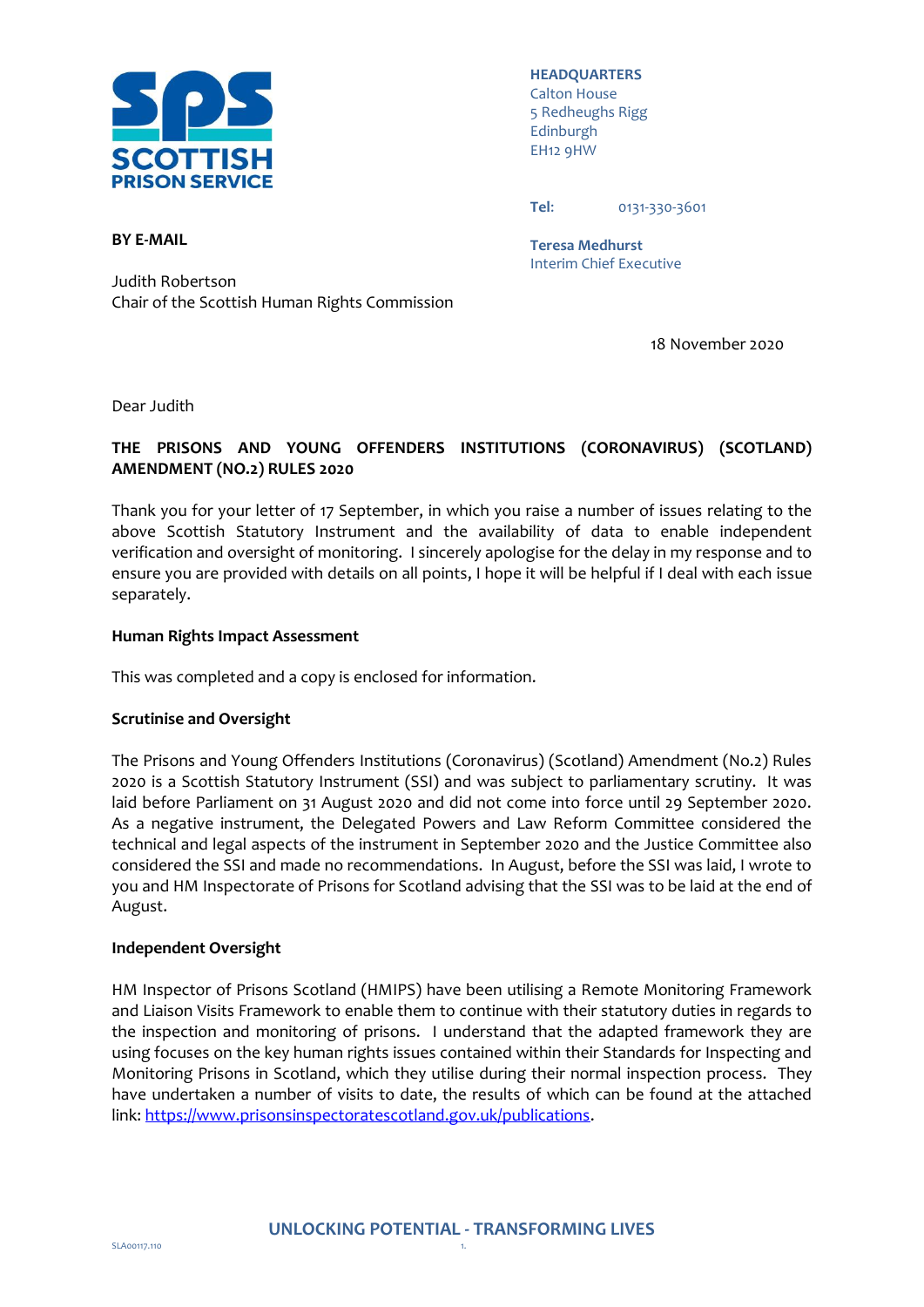

**HEADQUARTERS** Calton House 5 Redheughs Rigg Edinburgh EH12 9HW

**Tel**: 0131-330-3601

**Teresa Medhurst** Interim Chief Executive

Judith Robertson Chair of the Scottish Human Rights Commission

18 November 2020

Dear Judith

**BY E-MAIL**

# **THE PRISONS AND YOUNG OFFENDERS INSTITUTIONS (CORONAVIRUS) (SCOTLAND) AMENDMENT (NO.2) RULES 2020**

Thank you for your letter of 17 September, in which you raise a number of issues relating to the above Scottish Statutory Instrument and the availability of data to enable independent verification and oversight of monitoring. I sincerely apologise for the delay in my response and to ensure you are provided with details on all points, I hope it will be helpful if I deal with each issue separately.

### **Human Rights Impact Assessment**

This was completed and a copy is enclosed for information.

### **Scrutinise and Oversight**

The Prisons and Young Offenders Institutions (Coronavirus) (Scotland) Amendment (No.2) Rules 2020 is a Scottish Statutory Instrument (SSI) and was subject to parliamentary scrutiny. It was laid before Parliament on 31 August 2020 and did not come into force until 29 September 2020. As a negative instrument, the Delegated Powers and Law Reform Committee considered the technical and legal aspects of the instrument in September 2020 and the Justice Committee also considered the SSI and made no recommendations. In August, before the SSI was laid, I wrote to you and HM Inspectorate of Prisons for Scotland advising that the SSI was to be laid at the end of August.

### **Independent Oversight**

HM Inspector of Prisons Scotland (HMIPS) have been utilising a Remote Monitoring Framework and Liaison Visits Framework to enable them to continue with their statutory duties in regards to the inspection and monitoring of prisons. I understand that the adapted framework they are using focuses on the key human rights issues contained within their Standards for Inspecting and Monitoring Prisons in Scotland, which they utilise during their normal inspection process. They have undertaken a number of visits to date, the results of which can be found at the attached link[: https://www.prisonsinspectoratescotland.gov.uk/publications.](https://www.prisonsinspectoratescotland.gov.uk/publications)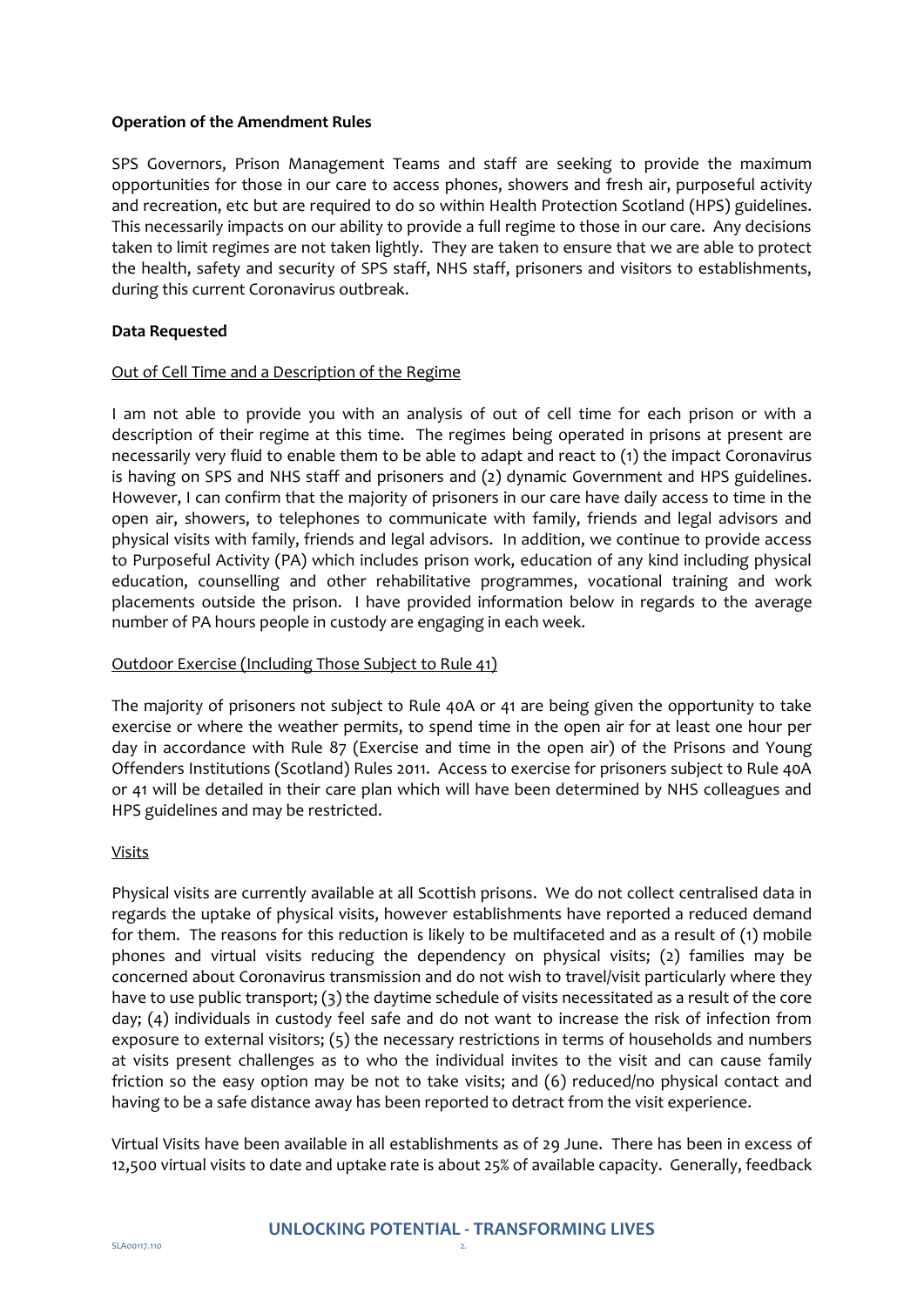### **Operation of the Amendment Rules**

SPS Governors, Prison Management Teams and staff are seeking to provide the maximum opportunities for those in our care to access phones, showers and fresh air, purposeful activity and recreation, etc but are required to do so within Health Protection Scotland (HPS) guidelines. This necessarily impacts on our ability to provide a full regime to those in our care. Any decisions taken to limit regimes are not taken lightly. They are taken to ensure that we are able to protect the health, safety and security of SPS staff, NHS staff, prisoners and visitors to establishments, during this current Coronavirus outbreak.

## **Data Requested**

### Out of Cell Time and a Description of the Regime

I am not able to provide you with an analysis of out of cell time for each prison or with a description of their regime at this time. The regimes being operated in prisons at present are necessarily very fluid to enable them to be able to adapt and react to (1) the impact Coronavirus is having on SPS and NHS staff and prisoners and (2) dynamic Government and HPS guidelines. However, I can confirm that the majority of prisoners in our care have daily access to time in the open air, showers, to telephones to communicate with family, friends and legal advisors and physical visits with family, friends and legal advisors. In addition, we continue to provide access to Purposeful Activity (PA) which includes prison work, education of any kind including physical education, counselling and other rehabilitative programmes, vocational training and work placements outside the prison. I have provided information below in regards to the average number of PA hours people in custody are engaging in each week.

### Outdoor Exercise (Including Those Subject to Rule 41)

The majority of prisoners not subject to Rule 40A or 41 are being given the opportunity to take exercise or where the weather permits, to spend time in the open air for at least one hour per day in accordance with Rule 87 (Exercise and time in the open air) of the Prisons and Young Offenders Institutions (Scotland) Rules 2011. Access to exercise for prisoners subject to Rule 40A or 41 will be detailed in their care plan which will have been determined by NHS colleagues and HPS guidelines and may be restricted.

### Visits

Physical visits are currently available at all Scottish prisons. We do not collect centralised data in regards the uptake of physical visits, however establishments have reported a reduced demand for them. The reasons for this reduction is likely to be multifaceted and as a result of (1) mobile phones and virtual visits reducing the dependency on physical visits; (2) families may be concerned about Coronavirus transmission and do not wish to travel/visit particularly where they have to use public transport; (3) the daytime schedule of visits necessitated as a result of the core day; (4) individuals in custody feel safe and do not want to increase the risk of infection from exposure to external visitors; (5) the necessary restrictions in terms of households and numbers at visits present challenges as to who the individual invites to the visit and can cause family friction so the easy option may be not to take visits; and (6) reduced/no physical contact and having to be a safe distance away has been reported to detract from the visit experience.

Virtual Visits have been available in all establishments as of 29 June. There has been in excess of 12,500 virtual visits to date and uptake rate is about 25% of available capacity. Generally, feedback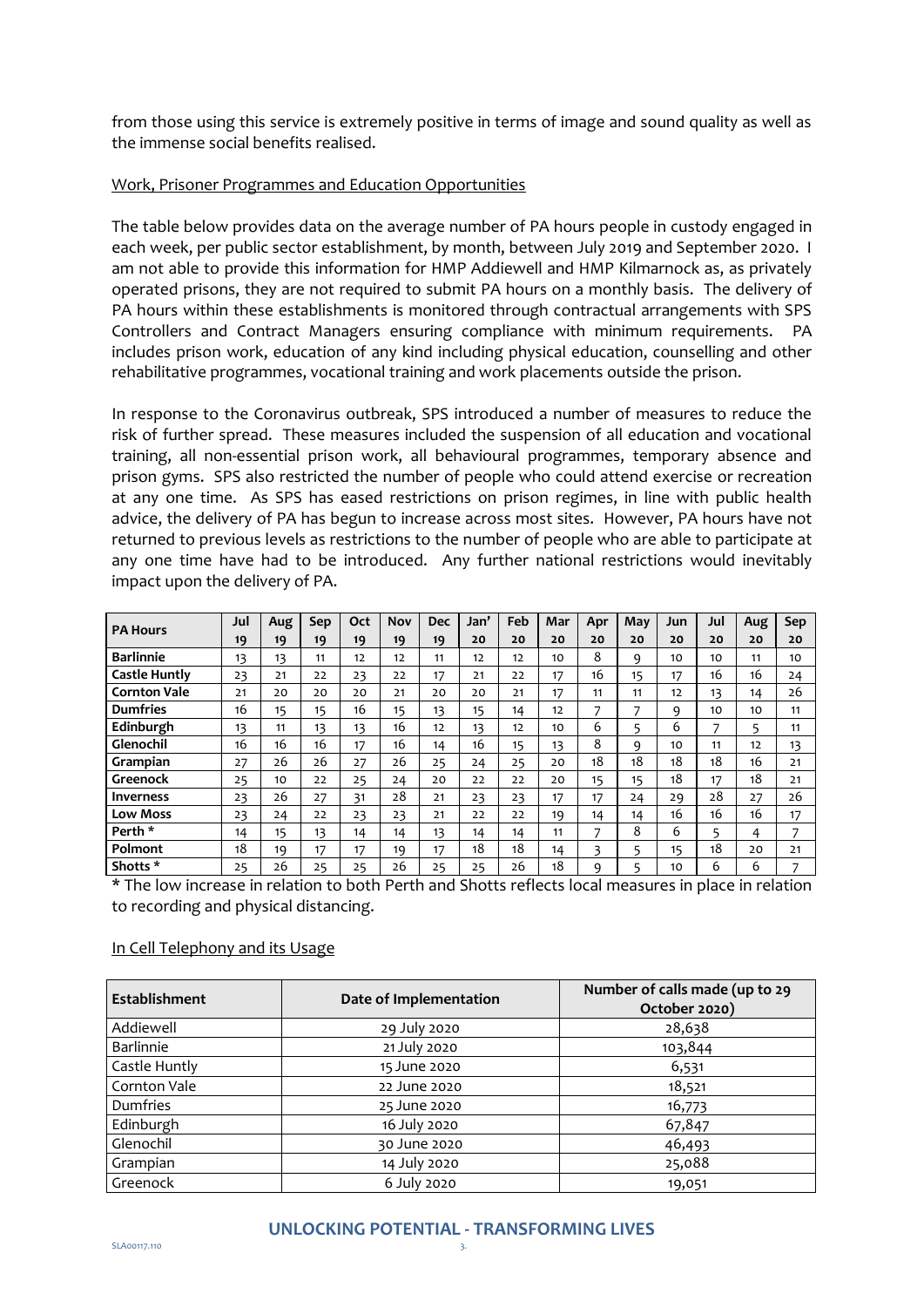from those using this service is extremely positive in terms of image and sound quality as well as the immense social benefits realised.

### Work, Prisoner Programmes and Education Opportunities

The table below provides data on the average number of PA hours people in custody engaged in each week, per public sector establishment, by month, between July 2019 and September 2020. I am not able to provide this information for HMP Addiewell and HMP Kilmarnock as, as privately operated prisons, they are not required to submit PA hours on a monthly basis. The delivery of PA hours within these establishments is monitored through contractual arrangements with SPS Controllers and Contract Managers ensuring compliance with minimum requirements. PA includes prison work, education of any kind including physical education, counselling and other rehabilitative programmes, vocational training and work placements outside the prison.

In response to the Coronavirus outbreak, SPS introduced a number of measures to reduce the risk of further spread. These measures included the suspension of all education and vocational training, all non-essential prison work, all behavioural programmes, temporary absence and prison gyms. SPS also restricted the number of people who could attend exercise or recreation at any one time. As SPS has eased restrictions on prison regimes, in line with public health advice, the delivery of PA has begun to increase across most sites. However, PA hours have not returned to previous levels as restrictions to the number of people who are able to participate at any one time have had to be introduced. Any further national restrictions would inevitably impact upon the delivery of PA.

| <b>PA Hours</b>      | Jul | Aug | Sep | Oct | Nov | <b>Dec</b> | Jan' | Feb | Mar | Apr | May | Jun | Jul | Aug | Sep            |
|----------------------|-----|-----|-----|-----|-----|------------|------|-----|-----|-----|-----|-----|-----|-----|----------------|
|                      | 19  | 19  | 19  | 19  | 19  | 19         | 20   | 20  | 20  | 20  | 20  | 20  | 20  | 20  | 20             |
| <b>Barlinnie</b>     | 13  | 13  | 11  | 12  | 12  | 11         | 12   | 12  | 10  | 8   | 9   | 10  | 10  | 11  | 10             |
| <b>Castle Huntly</b> | 23  | 21  | 22  | 23  | 22  | 17         | 21   | 22  | 17  | 16  | 15  | 17  | 16  | 16  | 24             |
| <b>Cornton Vale</b>  | 21  | 20  | 20  | 20  | 21  | 20         | 20   | 21  | 17  | 11  | 11  | 12  | 13  | 14  | 26             |
| <b>Dumfries</b>      | 16  | 15  | 15  | 16  | 15  | 13         | 15   | 14  | 12  | 7   | 7   | 9   | 10  | 10  | 11             |
| Edinburgh            | 13  | 11  | 13  | 13  | 16  | 12         | 13   | 12  | 10  | 6   | 5   | 6   | 7   | 5   | 11             |
| Glenochil            | 16  | 16  | 16  | 17  | 16  | 14         | 16   | 15  | 13  | 8   | q   | 10  | 11  | 12  | 13             |
| Grampian             | 27  | 26  | 26  | 27  | 26  | 25         | 24   | 25  | 20  | 18  | 18  | 18  | 18  | 16  | 21             |
| Greenock             | 25  | 10  | 22  | 25  | 24  | 20         | 22   | 22  | 20  | 15  | 15  | 18  | 17  | 18  | 21             |
| Inverness            | 23  | 26  | 27  | 31  | 28  | 21         | 23   | 23  | 17  | 17  | 24  | 29  | 28  | 27  | 26             |
| <b>Low Moss</b>      | 23  | 24  | 22  | 23  | 23  | 21         | 22   | 22  | 19  | 14  | 14  | 16  | 16  | 16  | 17             |
| Perth <sup>*</sup>   | 14  | 15  | 13  | 14  | 14  | 13         | 14   | 14  | 11  | 7   | 8   | 6   | 5   | 4   | 7              |
| Polmont              | 18  | 19  | 17  | 17  | 19  | 17         | 18   | 18  | 14  | 3   | 5   | 15  | 18  | 20  | 21             |
| Shotts *             | 25  | 26  | 25  | 25  | 26  | 25         | 25   | 26  | 18  | 9   | 5   | 10  | 6   | 6   | $\overline{ }$ |

\* The low increase in relation to both Perth and Shotts reflects local measures in place in relation to recording and physical distancing.

### In Cell Telephony and its Usage

| <b>Establishment</b> | Date of Implementation | Number of calls made (up to 29<br>October 2020) |  |  |  |
|----------------------|------------------------|-------------------------------------------------|--|--|--|
| Addiewell            | 29 July 2020           | 28,638                                          |  |  |  |
| <b>Barlinnie</b>     | 21 July 2020           | 103,844                                         |  |  |  |
| Castle Huntly        | 15 June 2020           | 6,531                                           |  |  |  |
| Cornton Vale         | 22 June 2020           | 18,521                                          |  |  |  |
| Dumfries             | 25 June 2020           | 16,773                                          |  |  |  |
| Edinburgh            | 16 July 2020           | 67,847                                          |  |  |  |
| Glenochil            | 30 June 2020           | 46,493                                          |  |  |  |
| Grampian             | 14 July 2020           | 25,088                                          |  |  |  |
| Greenock             | 6 July 2020            | 19,051                                          |  |  |  |